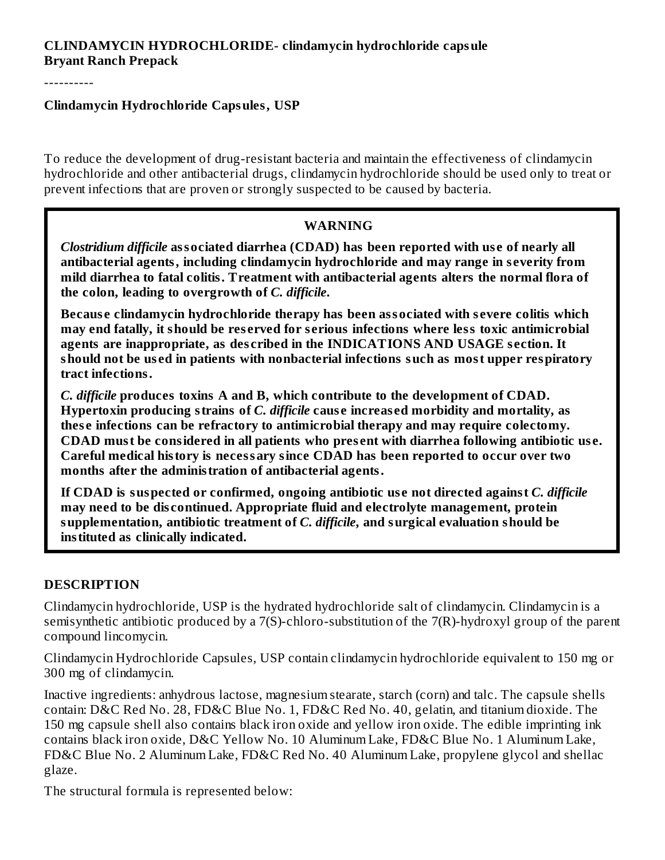### **CLINDAMYCIN HYDROCHLORIDE- clindamycin hydrochloride capsule Bryant Ranch Prepack**

----------

#### **Clindamycin Hydrochloride Capsules, USP**

To reduce the development of drug-resistant bacteria and maintain the effectiveness of clindamycin hydrochloride and other antibacterial drugs, clindamycin hydrochloride should be used only to treat or prevent infections that are proven or strongly suspected to be caused by bacteria.

#### **WARNING**

*Clostridium difficile* **associated diarrhea (CDAD) has been reported with us e of nearly all antibacterial agents, including clindamycin hydrochloride and may range in s everity from mild diarrhea to fatal colitis. Treatment with antibacterial agents alters the normal flora of the colon, leading to overgrowth of** *C. difficile***.**

**Becaus e clindamycin hydrochloride therapy has been associated with s evere colitis which may end fatally, it should be res erved for s erious infections where less toxic antimicrobial agents are inappropriate, as des cribed in the INDICATIONS AND USAGE s ection. It should not be us ed in patients with nonbacterial infections such as most upper respiratory tract infections.**

*C. difficile* **produces toxins A and B, which contribute to the development of CDAD. Hypertoxin producing strains of** *C. difficile* **caus e increas ed morbidity and mortality, as thes e infections can be refractory to antimicrobial therapy and may require colectomy. CDAD must be considered in all patients who pres ent with diarrhea following antibiotic us e. Careful medical history is necessary since CDAD has been reported to occur over two months after the administration of antibacterial agents.**

**If CDAD is suspected or confirmed, ongoing antibiotic us e not directed against** *C. difficile* **may need to be dis continued. Appropriate fluid and electrolyte management, protein supplementation, antibiotic treatment of** *C. difficile***, and surgical evaluation should be instituted as clinically indicated.**

#### **DESCRIPTION**

Clindamycin hydrochloride, USP is the hydrated hydrochloride salt of clindamycin. Clindamycin is a semisynthetic antibiotic produced by a 7(S)-chloro-substitution of the 7(R)-hydroxyl group of the parent compound lincomycin.

Clindamycin Hydrochloride Capsules, USP contain clindamycin hydrochloride equivalent to 150 mg or 300 mg of clindamycin.

Inactive ingredients: anhydrous lactose, magnesium stearate, starch (corn) and talc. The capsule shells contain: D&C Red No. 28, FD&C Blue No. 1, FD&C Red No. 40, gelatin, and titanium dioxide. The 150 mg capsule shell also contains black iron oxide and yellow iron oxide. The edible imprinting ink contains black iron oxide, D&C Yellow No. 10 Aluminum Lake, FD&C Blue No. 1 Aluminum Lake, FD&C Blue No. 2 Aluminum Lake, FD&C Red No. 40 Aluminum Lake, propylene glycol and shellac glaze.

The structural formula is represented below: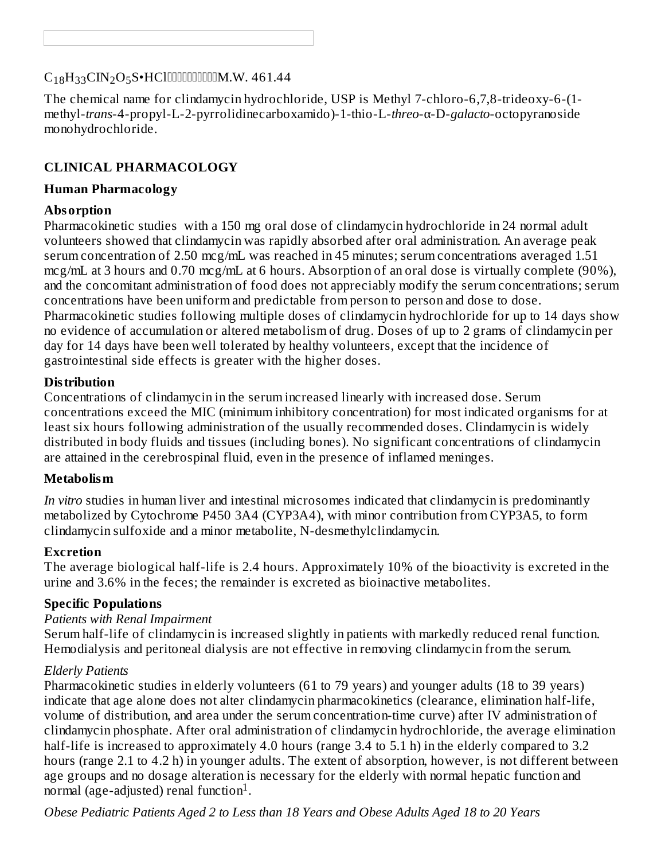# $\rm{C_{18}H_{33}CIN_2O_5S\bullet HCl}$  do the small definition. W. 461.44

The chemical name for clindamycin hydrochloride, USP is Methyl 7-chloro-6,7,8-trideoxy-6-(1 methyl-*trans*-4-propyl-L-2-pyrrolidinecarboxamido)-1-thio-L-*threo*-α-D-*galacto*-octopyranoside monohydrochloride.

### **CLINICAL PHARMACOLOGY**

#### **Human Pharmacology**

#### **Absorption**

Pharmacokinetic studies with a 150 mg oral dose of clindamycin hydrochloride in 24 normal adult volunteers showed that clindamycin was rapidly absorbed after oral administration. An average peak serum concentration of 2.50 mcg/mL was reached in 45 minutes; serum concentrations averaged 1.51 mcg/mL at 3 hours and 0.70 mcg/mL at 6 hours. Absorption of an oral dose is virtually complete (90%), and the concomitant administration of food does not appreciably modify the serum concentrations; serum concentrations have been uniform and predictable from person to person and dose to dose. Pharmacokinetic studies following multiple doses of clindamycin hydrochloride for up to 14 days show no evidence of accumulation or altered metabolism of drug. Doses of up to 2 grams of clindamycin per day for 14 days have been well tolerated by healthy volunteers, except that the incidence of gastrointestinal side effects is greater with the higher doses.

#### **Distribution**

Concentrations of clindamycin in the serum increased linearly with increased dose. Serum concentrations exceed the MIC (minimum inhibitory concentration) for most indicated organisms for at least six hours following administration of the usually recommended doses. Clindamycin is widely distributed in body fluids and tissues (including bones). No significant concentrations of clindamycin are attained in the cerebrospinal fluid, even in the presence of inflamed meninges.

#### **Metabolism**

*In vitro* studies in human liver and intestinal microsomes indicated that clindamycin is predominantly metabolized by Cytochrome P450 3A4 (CYP3A4), with minor contribution from CYP3A5, to form clindamycin sulfoxide and a minor metabolite, N-desmethylclindamycin.

#### **Excretion**

The average biological half-life is 2.4 hours. Approximately 10% of the bioactivity is excreted in the urine and 3.6% in the feces; the remainder is excreted as bioinactive metabolites.

#### **Specific Populations**

#### *Patients with Renal Impairment*

Serum half-life of clindamycin is increased slightly in patients with markedly reduced renal function. Hemodialysis and peritoneal dialysis are not effective in removing clindamycin from the serum.

#### *Elderly Patients*

Pharmacokinetic studies in elderly volunteers (61 to 79 years) and younger adults (18 to 39 years) indicate that age alone does not alter clindamycin pharmacokinetics (clearance, elimination half-life, volume of distribution, and area under the serum concentration-time curve) after IV administration of clindamycin phosphate. After oral administration of clindamycin hydrochloride, the average elimination half-life is increased to approximately 4.0 hours (range 3.4 to 5.1 h) in the elderly compared to 3.2 hours (range 2.1 to 4.2 h) in younger adults. The extent of absorption, however, is not different between age groups and no dosage alteration is necessary for the elderly with normal hepatic function and normal (age-adjusted) renal function<sup>1</sup>.

*Obese Pediatric Patients Aged 2 to Less than 18 Years and Obese Adults Aged 18 to 20 Years*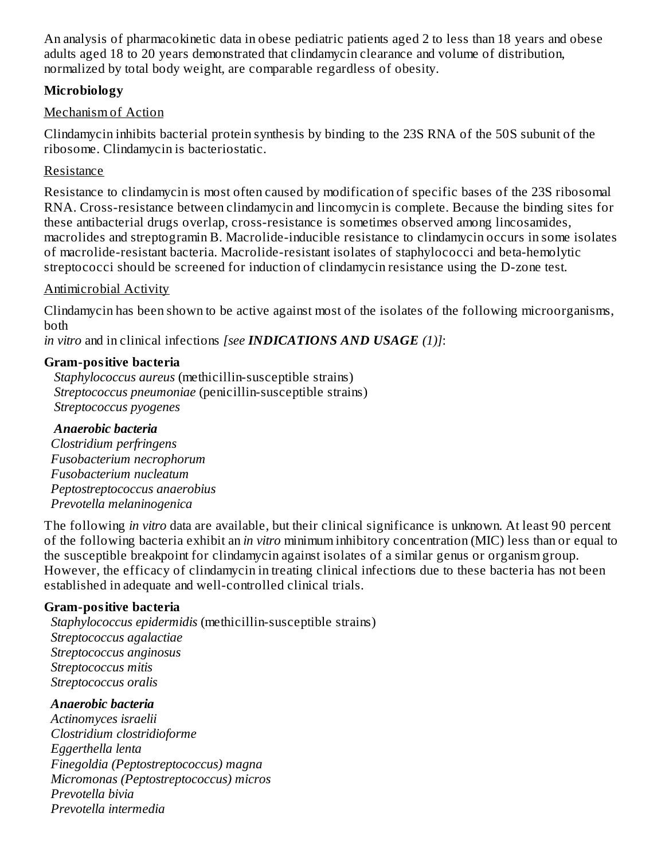An analysis of pharmacokinetic data in obese pediatric patients aged 2 to less than 18 years and obese adults aged 18 to 20 years demonstrated that clindamycin clearance and volume of distribution, normalized by total body weight, are comparable regardless of obesity.

### **Microbiology**

### Mechanism of Action

Clindamycin inhibits bacterial protein synthesis by binding to the 23S RNA of the 50S subunit of the ribosome. Clindamycin is bacteriostatic.

### Resistance

Resistance to clindamycin is most often caused by modification of specific bases of the 23S ribosomal RNA. Cross-resistance between clindamycin and lincomycin is complete. Because the binding sites for these antibacterial drugs overlap, cross-resistance is sometimes observed among lincosamides, macrolides and streptogramin B. Macrolide-inducible resistance to clindamycin occurs in some isolates of macrolide-resistant bacteria. Macrolide-resistant isolates of staphylococci and beta-hemolytic streptococci should be screened for induction of clindamycin resistance using the D-zone test.

### Antimicrobial Activity

Clindamycin has been shown to be active against most of the isolates of the following microorganisms, both

*in vitro* and in clinical infections *[see INDICATIONS AND USAGE (1)]*:

### **Gram-positive bacteria**

*Staphylococcus aureus* (methicillin-susceptible strains) *Streptococcus pneumoniae* (penicillin-susceptible strains) *Streptococcus pyogenes*

### *Anaerobic bacteria*

*Clostridium perfringens Fusobacterium necrophorum Fusobacterium nucleatum Peptostreptococcus anaerobius Prevotella melaninogenica*

The following *in vitro* data are available, but their clinical significance is unknown. At least 90 percent of the following bacteria exhibit an *in vitro* minimum inhibitory concentration (MIC) less than or equal to the susceptible breakpoint for clindamycin against isolates of a similar genus or organism group. However, the efficacy of clindamycin in treating clinical infections due to these bacteria has not been established in adequate and well-controlled clinical trials.

### **Gram-positive bacteria**

*Staphylococcus epidermidis* (methicillin-susceptible strains) *Streptococcus agalactiae Streptococcus anginosus Streptococcus mitis Streptococcus oralis*

#### *Anaerobic bacteria*

*Actinomyces israelii Clostridium clostridioforme Eggerthella lenta Finegoldia (Peptostreptococcus) magna Micromonas (Peptostreptococcus) micros Prevotella bivia Prevotella intermedia*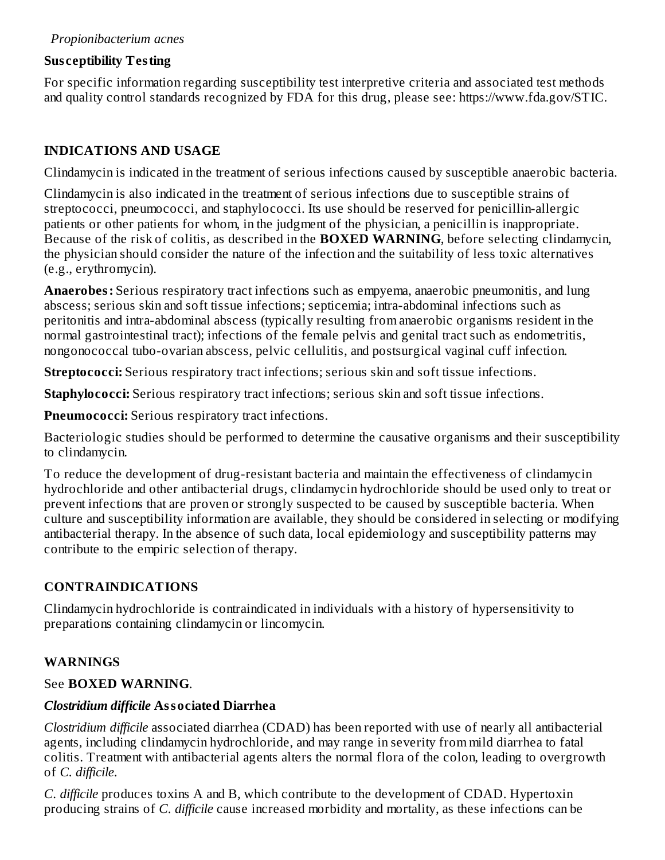### **Sus ceptibility Testing**

For specific information regarding susceptibility test interpretive criteria and associated test methods and quality control standards recognized by FDA for this drug, please see: https://www.fda.gov/STIC.

## **INDICATIONS AND USAGE**

Clindamycin is indicated in the treatment of serious infections caused by susceptible anaerobic bacteria.

Clindamycin is also indicated in the treatment of serious infections due to susceptible strains of streptococci, pneumococci, and staphylococci. Its use should be reserved for penicillin-allergic patients or other patients for whom, in the judgment of the physician, a penicillin is inappropriate. Because of the risk of colitis, as described in the **BOXED WARNING**, before selecting clindamycin, the physician should consider the nature of the infection and the suitability of less toxic alternatives (e.g., erythromycin).

**Anaerobes:** Serious respiratory tract infections such as empyema, anaerobic pneumonitis, and lung abscess; serious skin and soft tissue infections; septicemia; intra-abdominal infections such as peritonitis and intra-abdominal abscess (typically resulting from anaerobic organisms resident in the normal gastrointestinal tract); infections of the female pelvis and genital tract such as endometritis, nongonococcal tubo-ovarian abscess, pelvic cellulitis, and postsurgical vaginal cuff infection.

**Streptococci:** Serious respiratory tract infections; serious skin and soft tissue infections.

**Staphylococci:** Serious respiratory tract infections; serious skin and soft tissue infections.

**Pneumococci:** Serious respiratory tract infections.

Bacteriologic studies should be performed to determine the causative organisms and their susceptibility to clindamycin.

To reduce the development of drug-resistant bacteria and maintain the effectiveness of clindamycin hydrochloride and other antibacterial drugs, clindamycin hydrochloride should be used only to treat or prevent infections that are proven or strongly suspected to be caused by susceptible bacteria. When culture and susceptibility information are available, they should be considered in selecting or modifying antibacterial therapy. In the absence of such data, local epidemiology and susceptibility patterns may contribute to the empiric selection of therapy.

# **CONTRAINDICATIONS**

Clindamycin hydrochloride is contraindicated in individuals with a history of hypersensitivity to preparations containing clindamycin or lincomycin.

# **WARNINGS**

### See **BOXED WARNING**.

### *Clostridium difficile* **Associated Diarrhea**

*Clostridium difficile* associated diarrhea (CDAD) has been reported with use of nearly all antibacterial agents, including clindamycin hydrochloride, and may range in severity from mild diarrhea to fatal colitis. Treatment with antibacterial agents alters the normal flora of the colon, leading to overgrowth of *C. difficile*.

*C. difficile* produces toxins A and B, which contribute to the development of CDAD. Hypertoxin producing strains of *C. difficile* cause increased morbidity and mortality, as these infections can be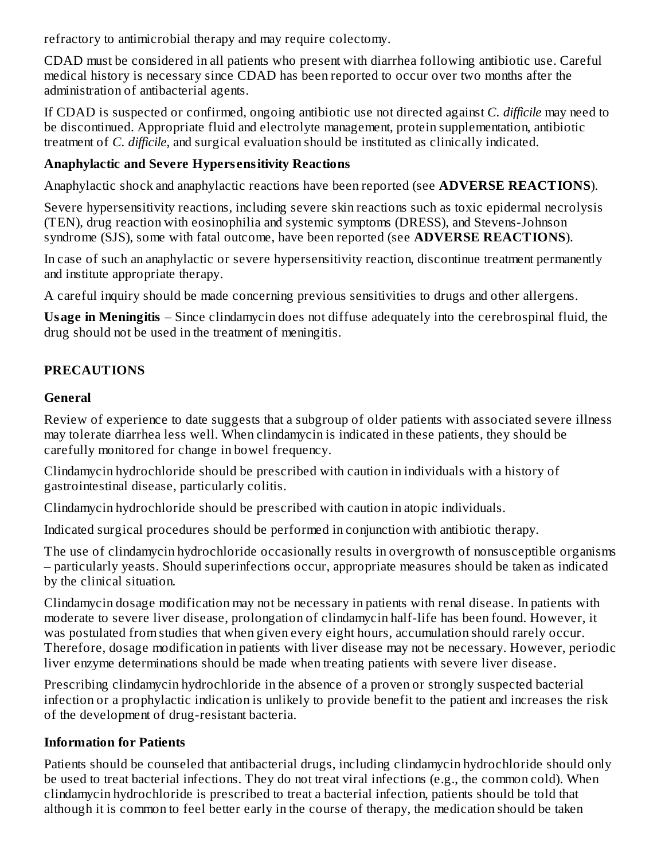refractory to antimicrobial therapy and may require colectomy.

CDAD must be considered in all patients who present with diarrhea following antibiotic use. Careful medical history is necessary since CDAD has been reported to occur over two months after the administration of antibacterial agents.

If CDAD is suspected or confirmed, ongoing antibiotic use not directed against *C. difficile* may need to be discontinued. Appropriate fluid and electrolyte management, protein supplementation, antibiotic treatment of *C. difficile*, and surgical evaluation should be instituted as clinically indicated.

## **Anaphylactic and Severe Hypers ensitivity Reactions**

Anaphylactic shock and anaphylactic reactions have been reported (see **ADVERSE REACTIONS**).

Severe hypersensitivity reactions, including severe skin reactions such as toxic epidermal necrolysis (TEN), drug reaction with eosinophilia and systemic symptoms (DRESS), and Stevens-Johnson syndrome (SJS), some with fatal outcome, have been reported (see **ADVERSE REACTIONS**).

In case of such an anaphylactic or severe hypersensitivity reaction, discontinue treatment permanently and institute appropriate therapy.

A careful inquiry should be made concerning previous sensitivities to drugs and other allergens.

**Usage in Meningitis** – Since clindamycin does not diffuse adequately into the cerebrospinal fluid, the drug should not be used in the treatment of meningitis.

# **PRECAUTIONS**

## **General**

Review of experience to date suggests that a subgroup of older patients with associated severe illness may tolerate diarrhea less well. When clindamycin is indicated in these patients, they should be carefully monitored for change in bowel frequency.

Clindamycin hydrochloride should be prescribed with caution in individuals with a history of gastrointestinal disease, particularly colitis.

Clindamycin hydrochloride should be prescribed with caution in atopic individuals.

Indicated surgical procedures should be performed in conjunction with antibiotic therapy.

The use of clindamycin hydrochloride occasionally results in overgrowth of nonsusceptible organisms – particularly yeasts. Should superinfections occur, appropriate measures should be taken as indicated by the clinical situation.

Clindamycin dosage modification may not be necessary in patients with renal disease. In patients with moderate to severe liver disease, prolongation of clindamycin half-life has been found. However, it was postulated from studies that when given every eight hours, accumulation should rarely occur. Therefore, dosage modification in patients with liver disease may not be necessary. However, periodic liver enzyme determinations should be made when treating patients with severe liver disease.

Prescribing clindamycin hydrochloride in the absence of a proven or strongly suspected bacterial infection or a prophylactic indication is unlikely to provide benefit to the patient and increases the risk of the development of drug-resistant bacteria.

# **Information for Patients**

Patients should be counseled that antibacterial drugs, including clindamycin hydrochloride should only be used to treat bacterial infections. They do not treat viral infections (e.g., the common cold). When clindamycin hydrochloride is prescribed to treat a bacterial infection, patients should be told that although it is common to feel better early in the course of therapy, the medication should be taken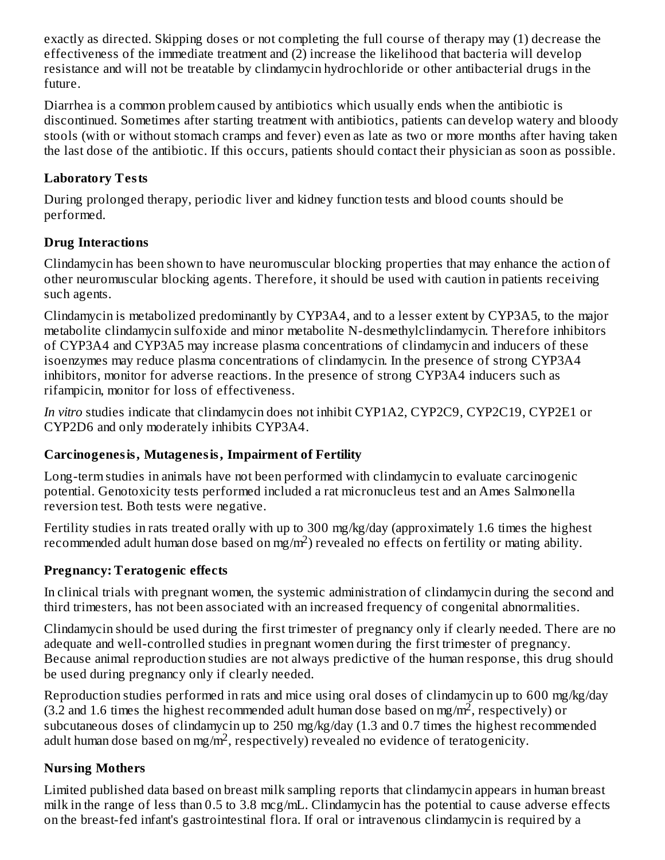exactly as directed. Skipping doses or not completing the full course of therapy may (1) decrease the effectiveness of the immediate treatment and (2) increase the likelihood that bacteria will develop resistance and will not be treatable by clindamycin hydrochloride or other antibacterial drugs in the future.

Diarrhea is a common problem caused by antibiotics which usually ends when the antibiotic is discontinued. Sometimes after starting treatment with antibiotics, patients can develop watery and bloody stools (with or without stomach cramps and fever) even as late as two or more months after having taken the last dose of the antibiotic. If this occurs, patients should contact their physician as soon as possible.

### **Laboratory Tests**

During prolonged therapy, periodic liver and kidney function tests and blood counts should be performed.

# **Drug Interactions**

Clindamycin has been shown to have neuromuscular blocking properties that may enhance the action of other neuromuscular blocking agents. Therefore, it should be used with caution in patients receiving such agents.

Clindamycin is metabolized predominantly by CYP3A4, and to a lesser extent by CYP3A5, to the major metabolite clindamycin sulfoxide and minor metabolite N-desmethylclindamycin. Therefore inhibitors of CYP3A4 and CYP3A5 may increase plasma concentrations of clindamycin and inducers of these isoenzymes may reduce plasma concentrations of clindamycin. In the presence of strong CYP3A4 inhibitors, monitor for adverse reactions. In the presence of strong CYP3A4 inducers such as rifampicin, monitor for loss of effectiveness.

*In vitro* studies indicate that clindamycin does not inhibit CYP1A2, CYP2C9, CYP2C19, CYP2E1 or CYP2D6 and only moderately inhibits CYP3A4.

# **Carcinogenesis, Mutagenesis, Impairment of Fertility**

Long-term studies in animals have not been performed with clindamycin to evaluate carcinogenic potential. Genotoxicity tests performed included a rat micronucleus test and an Ames Salmonella reversion test. Both tests were negative.

Fertility studies in rats treated orally with up to 300 mg/kg/day (approximately 1.6 times the highest recommended adult human dose based on mg/m<sup>2</sup>) revealed no effects on fertility or mating ability.

# **Pregnancy: Teratogenic effects**

In clinical trials with pregnant women, the systemic administration of clindamycin during the second and third trimesters, has not been associated with an increased frequency of congenital abnormalities.

Clindamycin should be used during the first trimester of pregnancy only if clearly needed. There are no adequate and well-controlled studies in pregnant women during the first trimester of pregnancy. Because animal reproduction studies are not always predictive of the human response, this drug should be used during pregnancy only if clearly needed.

Reproduction studies performed in rats and mice using oral doses of clindamycin up to 600 mg/kg/day (3.2 and 1.6 times the highest recommended adult human dose based on mg/m<sup>2</sup>, respectively) or subcutaneous doses of clindamycin up to 250 mg/kg/day (1.3 and 0.7 times the highest recommended adult human dose based on mg/m<sup>2</sup>, respectively) revealed no evidence of teratogenicity.

# **Nursing Mothers**

Limited published data based on breast milk sampling reports that clindamycin appears in human breast milk in the range of less than 0.5 to 3.8 mcg/mL. Clindamycin has the potential to cause adverse effects on the breast-fed infant's gastrointestinal flora. If oral or intravenous clindamycin is required by a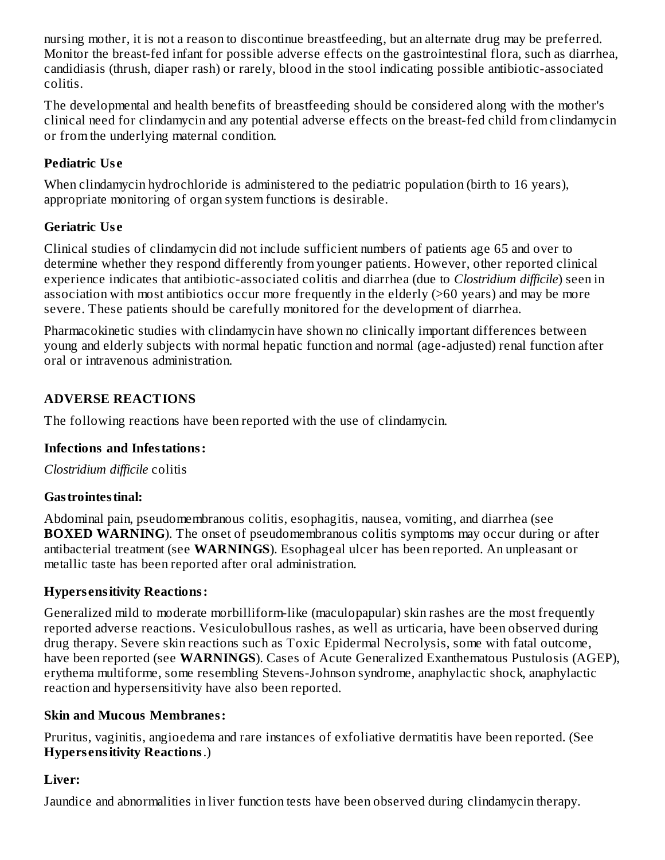nursing mother, it is not a reason to discontinue breastfeeding, but an alternate drug may be preferred. Monitor the breast-fed infant for possible adverse effects on the gastrointestinal flora, such as diarrhea, candidiasis (thrush, diaper rash) or rarely, blood in the stool indicating possible antibiotic-associated colitis.

The developmental and health benefits of breastfeeding should be considered along with the mother's clinical need for clindamycin and any potential adverse effects on the breast-fed child from clindamycin or from the underlying maternal condition.

## **Pediatric Us e**

When clindamycin hydrochloride is administered to the pediatric population (birth to 16 years), appropriate monitoring of organ system functions is desirable.

### **Geriatric Us e**

Clinical studies of clindamycin did not include sufficient numbers of patients age 65 and over to determine whether they respond differently from younger patients. However, other reported clinical experience indicates that antibiotic-associated colitis and diarrhea (due to *Clostridium difficile*) seen in association with most antibiotics occur more frequently in the elderly (>60 years) and may be more severe. These patients should be carefully monitored for the development of diarrhea.

Pharmacokinetic studies with clindamycin have shown no clinically important differences between young and elderly subjects with normal hepatic function and normal (age-adjusted) renal function after oral or intravenous administration.

### **ADVERSE REACTIONS**

The following reactions have been reported with the use of clindamycin.

#### **Infections and Infestations:**

*Clostridium difficile* colitis

#### **Gastrointestinal:**

Abdominal pain, pseudomembranous colitis, esophagitis, nausea, vomiting, and diarrhea (see **BOXED WARNING**). The onset of pseudomembranous colitis symptoms may occur during or after antibacterial treatment (see **WARNINGS**). Esophageal ulcer has been reported. An unpleasant or metallic taste has been reported after oral administration.

#### **Hypers ensitivity Reactions:**

Generalized mild to moderate morbilliform-like (maculopapular) skin rashes are the most frequently reported adverse reactions. Vesiculobullous rashes, as well as urticaria, have been observed during drug therapy. Severe skin reactions such as Toxic Epidermal Necrolysis, some with fatal outcome, have been reported (see **WARNINGS**). Cases of Acute Generalized Exanthematous Pustulosis (AGEP), erythema multiforme, some resembling Stevens-Johnson syndrome, anaphylactic shock, anaphylactic reaction and hypersensitivity have also been reported.

#### **Skin and Mucous Membranes:**

Pruritus, vaginitis, angioedema and rare instances of exfoliative dermatitis have been reported. (See **Hypers ensitivity Reactions**.)

### **Liver:**

Jaundice and abnormalities in liver function tests have been observed during clindamycin therapy.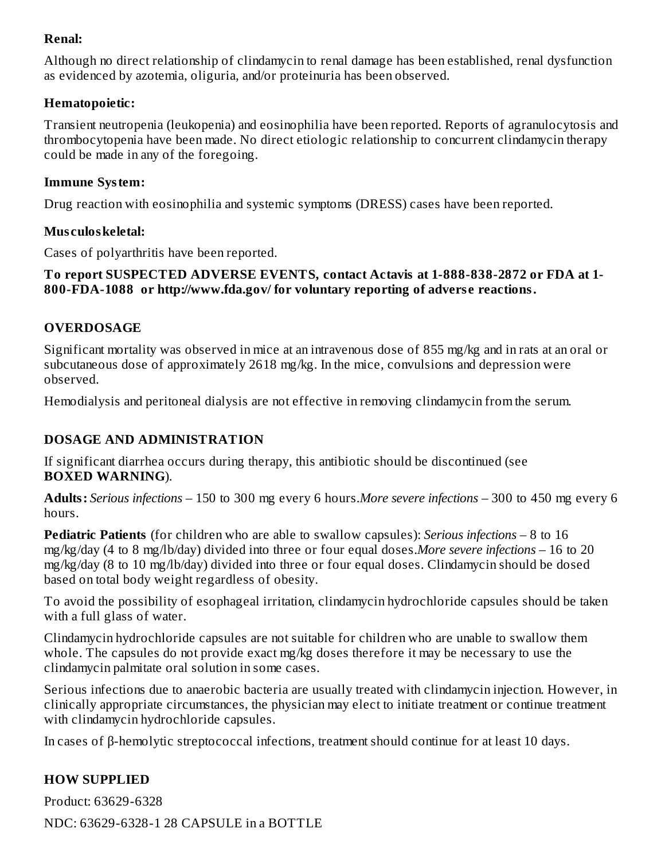### **Renal:**

Although no direct relationship of clindamycin to renal damage has been established, renal dysfunction as evidenced by azotemia, oliguria, and/or proteinuria has been observed.

#### **Hematopoietic:**

Transient neutropenia (leukopenia) and eosinophilia have been reported. Reports of agranulocytosis and thrombocytopenia have been made. No direct etiologic relationship to concurrent clindamycin therapy could be made in any of the foregoing.

#### **Immune System:**

Drug reaction with eosinophilia and systemic symptoms (DRESS) cases have been reported.

#### **Mus culoskeletal:**

Cases of polyarthritis have been reported.

#### **To report SUSPECTED ADVERSE EVENTS, contact Actavis at 1-888-838-2872 or FDA at 1- 800-FDA-1088 or http://www.fda.gov/ for voluntary reporting of advers e reactions.**

### **OVERDOSAGE**

Significant mortality was observed in mice at an intravenous dose of 855 mg/kg and in rats at an oral or subcutaneous dose of approximately 2618 mg/kg. In the mice, convulsions and depression were observed.

Hemodialysis and peritoneal dialysis are not effective in removing clindamycin from the serum.

### **DOSAGE AND ADMINISTRATION**

If significant diarrhea occurs during therapy, this antibiotic should be discontinued (see **BOXED WARNING**).

**Adults:** *Serious infections* – 150 to 300 mg every 6 hours.*More severe infections* – 300 to 450 mg every 6 hours.

**Pediatric Patients** (for children who are able to swallow capsules): *Serious infections* – 8 to 16 mg/kg/day (4 to 8 mg/lb/day) divided into three or four equal doses.*More severe infections* – 16 to 20 mg/kg/day (8 to 10 mg/lb/day) divided into three or four equal doses. Clindamycin should be dosed based on total body weight regardless of obesity.

To avoid the possibility of esophageal irritation, clindamycin hydrochloride capsules should be taken with a full glass of water.

Clindamycin hydrochloride capsules are not suitable for children who are unable to swallow them whole. The capsules do not provide exact mg/kg doses therefore it may be necessary to use the clindamycin palmitate oral solution in some cases.

Serious infections due to anaerobic bacteria are usually treated with clindamycin injection. However, in clinically appropriate circumstances, the physician may elect to initiate treatment or continue treatment with clindamycin hydrochloride capsules.

In cases of β-hemolytic streptococcal infections, treatment should continue for at least 10 days.

### **HOW SUPPLIED**

Product: 63629-6328

NDC: 63629-6328-1 28 CAPSULE in a BOTTLE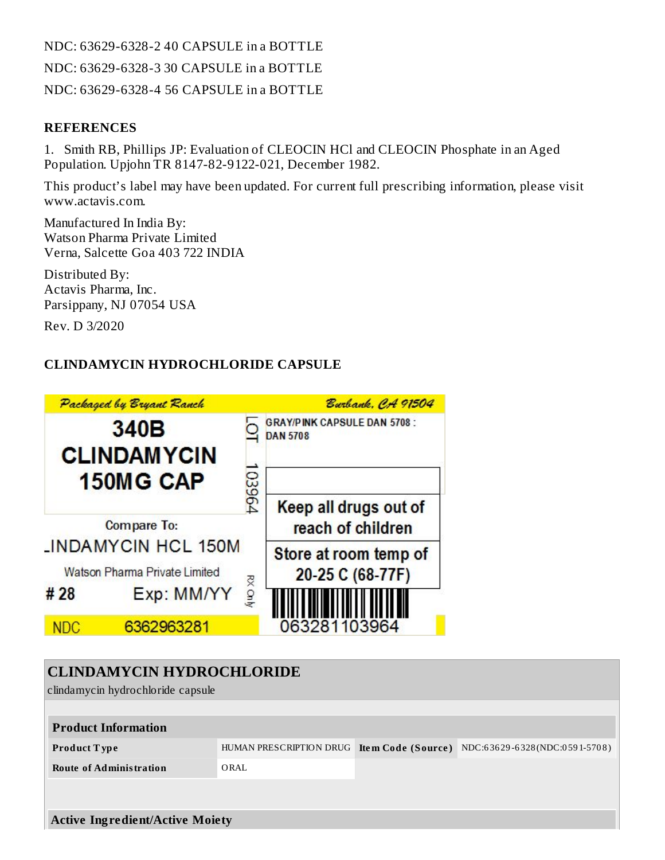NDC: 63629-6328-2 40 CAPSULE in a BOTTLE NDC: 63629-6328-3 30 CAPSULE in a BOTTLE NDC: 63629-6328-4 56 CAPSULE in a BOTTLE

#### **REFERENCES**

1. Smith RB, Phillips JP: Evaluation of CLEOCIN HCl and CLEOCIN Phosphate in an Aged Population. Upjohn TR 8147-82-9122-021, December 1982.

This product's label may have been updated. For current full prescribing information, please visit www.actavis.com.

Manufactured In India By: Watson Pharma Private Limited Verna, Salcette Goa 403 722 INDIA

Distributed By: Actavis Pharma, Inc. Parsippany, NJ 07054 USA

Rev. D 3/2020

## **CLINDAMYCIN HYDROCHLORIDE CAPSULE**

|                                                                                                                                           |                                                      | Burbank, CA 91504                                     |  |  |  |
|-------------------------------------------------------------------------------------------------------------------------------------------|------------------------------------------------------|-------------------------------------------------------|--|--|--|
| 340B<br><b>CLINDAMYCIN</b><br><b>150MG CAP</b><br><b>Compare To:</b><br><b>INDAMYCIN HCL 150M</b><br>Watson Pharma Private Limited<br>#28 |                                                      | <b>GRAY/PINK CAPSULE DAN 5708:</b><br><b>DAN 5708</b> |  |  |  |
|                                                                                                                                           |                                                      | Keep all drugs out of<br>reach of children            |  |  |  |
|                                                                                                                                           |                                                      | Store at room temp of<br>20-25 C (68-77F)             |  |  |  |
|                                                                                                                                           |                                                      | 063281103964                                          |  |  |  |
|                                                                                                                                           | Packaged by Bryant Ranch<br>Exp: MM/YY<br>6362963281 | 103964<br>RX Only                                     |  |  |  |

| <b>CLINDAMYCIN HYDROCHLORIDE</b><br>clindamycin hydrochloride capsule |                                            |  |                               |  |  |
|-----------------------------------------------------------------------|--------------------------------------------|--|-------------------------------|--|--|
| <b>Product Information</b>                                            |                                            |  |                               |  |  |
| <b>Product Type</b>                                                   | HUMAN PRESCRIPTION DRUG Item Code (Source) |  | NDC:63629-6328(NDC:0591-5708) |  |  |
| <b>Route of Administration</b>                                        | ORAL                                       |  |                               |  |  |
|                                                                       |                                            |  |                               |  |  |
| <b>Active Ingredient/Active Moiety</b>                                |                                            |  |                               |  |  |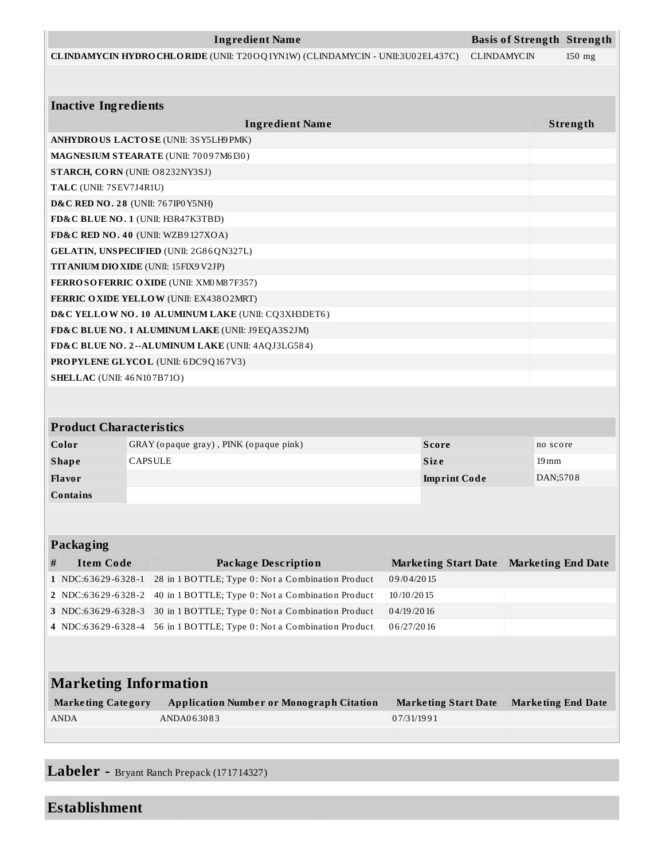|                                               |                | <b>Ingredient Name</b>                                                        |                                           |                             |                    | <b>Basis of Strength Strength</b> |          |
|-----------------------------------------------|----------------|-------------------------------------------------------------------------------|-------------------------------------------|-----------------------------|--------------------|-----------------------------------|----------|
|                                               |                | CLINDAMYCIN HYDRO CHLORIDE (UNII: T20OQ1YN1W) (CLINDAMYCIN - UNII:3U02EL437C) |                                           |                             | <b>CLINDAMYCIN</b> |                                   | 150 mg   |
|                                               |                |                                                                               |                                           |                             |                    |                                   |          |
|                                               |                |                                                                               |                                           |                             |                    |                                   |          |
| <b>Inactive Ingredients</b>                   |                |                                                                               |                                           |                             |                    |                                   |          |
|                                               |                | <b>Ingredient Name</b>                                                        |                                           |                             |                    |                                   | Strength |
|                                               |                | ANHYDROUS LACTOSE (UNII: 3SY5LH9PMK)                                          |                                           |                             |                    |                                   |          |
|                                               |                | MAGNESIUM STEARATE (UNII: 70097M6I30)                                         |                                           |                             |                    |                                   |          |
| STARCH, CORN (UNII: O8232NY3SJ)               |                |                                                                               |                                           |                             |                    |                                   |          |
| TALC (UNII: 7SEV7J4R1U)                       |                |                                                                               |                                           |                             |                    |                                   |          |
| <b>D&amp;C RED NO. 28 (UNII: 767IPO Y5NH)</b> |                |                                                                               |                                           |                             |                    |                                   |          |
| FD&C BLUE NO. 1 (UNII: H3R47K3TBD)            |                |                                                                               |                                           |                             |                    |                                   |          |
| FD&C RED NO. 40 (UNII: WZB9127XOA)            |                |                                                                               |                                           |                             |                    |                                   |          |
|                                               |                | GELATIN, UNSPECIFIED (UNII: 2G86QN327L)                                       |                                           |                             |                    |                                   |          |
| TITANIUM DIO XIDE (UNII: 15FIX9V2JP)          |                |                                                                               |                                           |                             |                    |                                   |          |
|                                               |                | FERROSOFERRIC OXIDE (UNII: XM0 M8 7F357)                                      |                                           |                             |                    |                                   |          |
|                                               |                | <b>FERRIC OXIDE YELLOW (UNII: EX438O2MRT)</b>                                 |                                           |                             |                    |                                   |          |
|                                               |                | D&C YELLOW NO. 10 ALUMINUM LAKE (UNII: CQ3XH3DET6)                            |                                           |                             |                    |                                   |          |
|                                               |                | FD&C BLUE NO. 1 ALUMINUM LAKE (UNII: J9EQA3S2JM)                              |                                           |                             |                    |                                   |          |
|                                               |                | FD&C BLUE NO. 2--ALUMINUM LAKE (UNII: 4AQJ3LG584)                             |                                           |                             |                    |                                   |          |
|                                               |                | <b>PROPYLENE GLYCOL</b> (UNII: 6DC9Q167V3)                                    |                                           |                             |                    |                                   |          |
| <b>SHELLAC</b> (UNII: 46 N107B71O)            |                |                                                                               |                                           |                             |                    |                                   |          |
|                                               |                |                                                                               |                                           |                             |                    |                                   |          |
|                                               |                |                                                                               |                                           |                             |                    |                                   |          |
| <b>Product Characteristics</b>                |                |                                                                               |                                           |                             |                    |                                   |          |
| Color                                         |                | GRAY (opaque gray), PINK (opaque pink)                                        |                                           | <b>Score</b>                |                    | no score                          |          |
| <b>Shape</b>                                  | <b>CAPSULE</b> |                                                                               |                                           | <b>Size</b>                 |                    | $19 \,\mathrm{mm}$                |          |
| Flavor                                        |                |                                                                               |                                           | <b>Imprint Code</b>         |                    | DAN;5708                          |          |
| Contains                                      |                |                                                                               |                                           |                             |                    |                                   |          |
|                                               |                |                                                                               |                                           |                             |                    |                                   |          |
|                                               |                |                                                                               |                                           |                             |                    |                                   |          |
| Packaging                                     |                |                                                                               |                                           |                             |                    |                                   |          |
| <b>Item Code</b><br>#                         |                | <b>Package Description</b>                                                    |                                           |                             |                    | <b>Marketing End Date</b>         |          |
| 1 NDC:63629-6328-1                            |                | 28 in 1 BOTTLE; Type 0: Not a Combination Product                             | <b>Marketing Start Date</b><br>09/04/2015 |                             |                    |                                   |          |
| 2 NDC:63629-6328-2                            |                | 40 in 1 BOTTLE; Type 0: Not a Combination Product                             | 10/10/2015                                |                             |                    |                                   |          |
| 3 NDC:63629-6328-3                            |                | 30 in 1 BOTTLE; Type 0: Not a Combination Product                             | 04/19/2016                                |                             |                    |                                   |          |
|                                               |                | 56 in 1 BOTTLE; Type 0: Not a Combination Product                             | 06/27/2016                                |                             |                    |                                   |          |
| 4 NDC:63629-6328-4                            |                |                                                                               |                                           |                             |                    |                                   |          |
|                                               |                |                                                                               |                                           |                             |                    |                                   |          |
| <b>Marketing Information</b>                  |                |                                                                               |                                           |                             |                    |                                   |          |
|                                               |                |                                                                               |                                           |                             |                    |                                   |          |
| <b>Marketing Category</b>                     |                | <b>Application Number or Monograph Citation</b>                               |                                           | <b>Marketing Start Date</b> |                    | <b>Marketing End Date</b>         |          |
| <b>ANDA</b>                                   |                | ANDA063083                                                                    | 07/31/1991                                |                             |                    |                                   |          |
|                                               |                |                                                                               |                                           |                             |                    |                                   |          |

**Labeler -** Bryant Ranch Prepack (171714327)

# **Establishment**